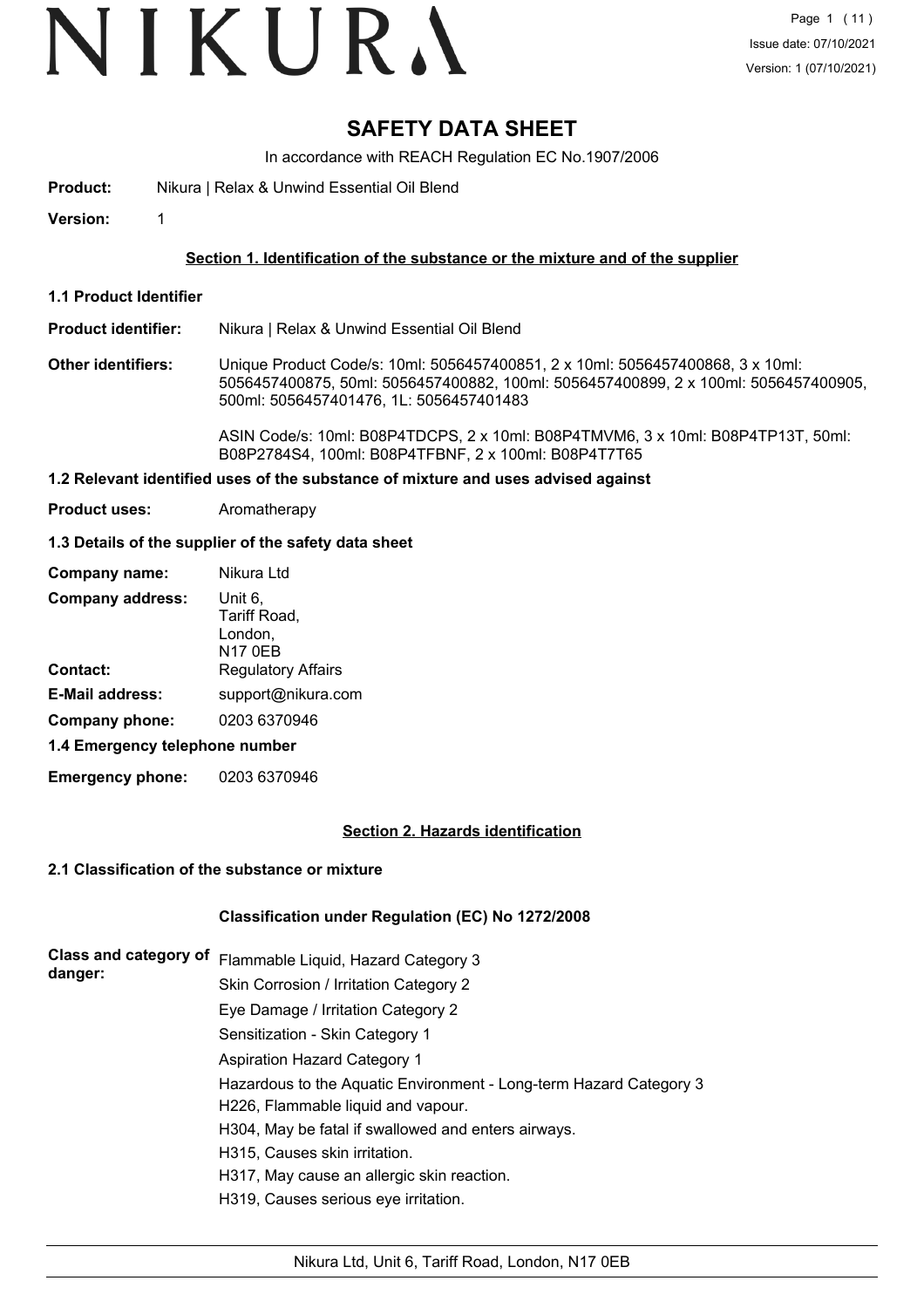# VIKURA

## **SAFETY DATA SHEET**

In accordance with REACH Regulation EC No.1907/2006

**Product:** Nikura | Relax & Unwind Essential Oil Blend

**Version:** 1

#### **Section 1. Identification of the substance or the mixture and of the supplier**

- **1.1 Product Identifier**
- **Product identifier:** Nikura | Relax & Unwind Essential Oil Blend
- **Other identifiers:** Unique Product Code/s: 10ml: 5056457400851, 2 x 10ml: 5056457400868, 3 x 10ml: 5056457400875, 50ml: 5056457400882, 100ml: 5056457400899, 2 x 100ml: 5056457400905, 500ml: 5056457401476, 1L: 5056457401483

ASIN Code/s: 10ml: B08P4TDCPS, 2 x 10ml: B08P4TMVM6, 3 x 10ml: B08P4TP13T, 50ml: B08P2784S4, 100ml: B08P4TFBNF, 2 x 100ml: B08P4T7T65

#### **1.2 Relevant identified uses of the substance of mixture and uses advised against**

**Product uses:** Aromatherapy

#### **1.3 Details of the supplier of the safety data sheet**

| Company name:                  | Nikura Ltd                                           |
|--------------------------------|------------------------------------------------------|
| <b>Company address:</b>        | Unit 6,<br>Tariff Road,<br>London,<br><b>N17 0EB</b> |
| <b>Contact:</b>                | <b>Regulatory Affairs</b>                            |
| <b>E-Mail address:</b>         | support@nikura.com                                   |
| Company phone:                 | 0203 6370946                                         |
| 1.4 Emergency telephone number |                                                      |

**Emergency phone:** 0203 6370946

#### **Section 2. Hazards identification**

#### **2.1 Classification of the substance or mixture**

#### **Classification under Regulation (EC) No 1272/2008**

| Class and category of<br>danger: | Flammable Liquid, Hazard Category 3                                |  |  |
|----------------------------------|--------------------------------------------------------------------|--|--|
|                                  | Skin Corrosion / Irritation Category 2                             |  |  |
|                                  | Eye Damage / Irritation Category 2                                 |  |  |
|                                  | Sensitization - Skin Category 1                                    |  |  |
|                                  | <b>Aspiration Hazard Category 1</b>                                |  |  |
|                                  | Hazardous to the Aquatic Environment - Long-term Hazard Category 3 |  |  |
|                                  | H226, Flammable liquid and vapour.                                 |  |  |
|                                  | H304, May be fatal if swallowed and enters airways.                |  |  |
|                                  | H315. Causes skin irritation.                                      |  |  |
|                                  | H317, May cause an allergic skin reaction.                         |  |  |
|                                  | H319, Causes serious eye irritation.                               |  |  |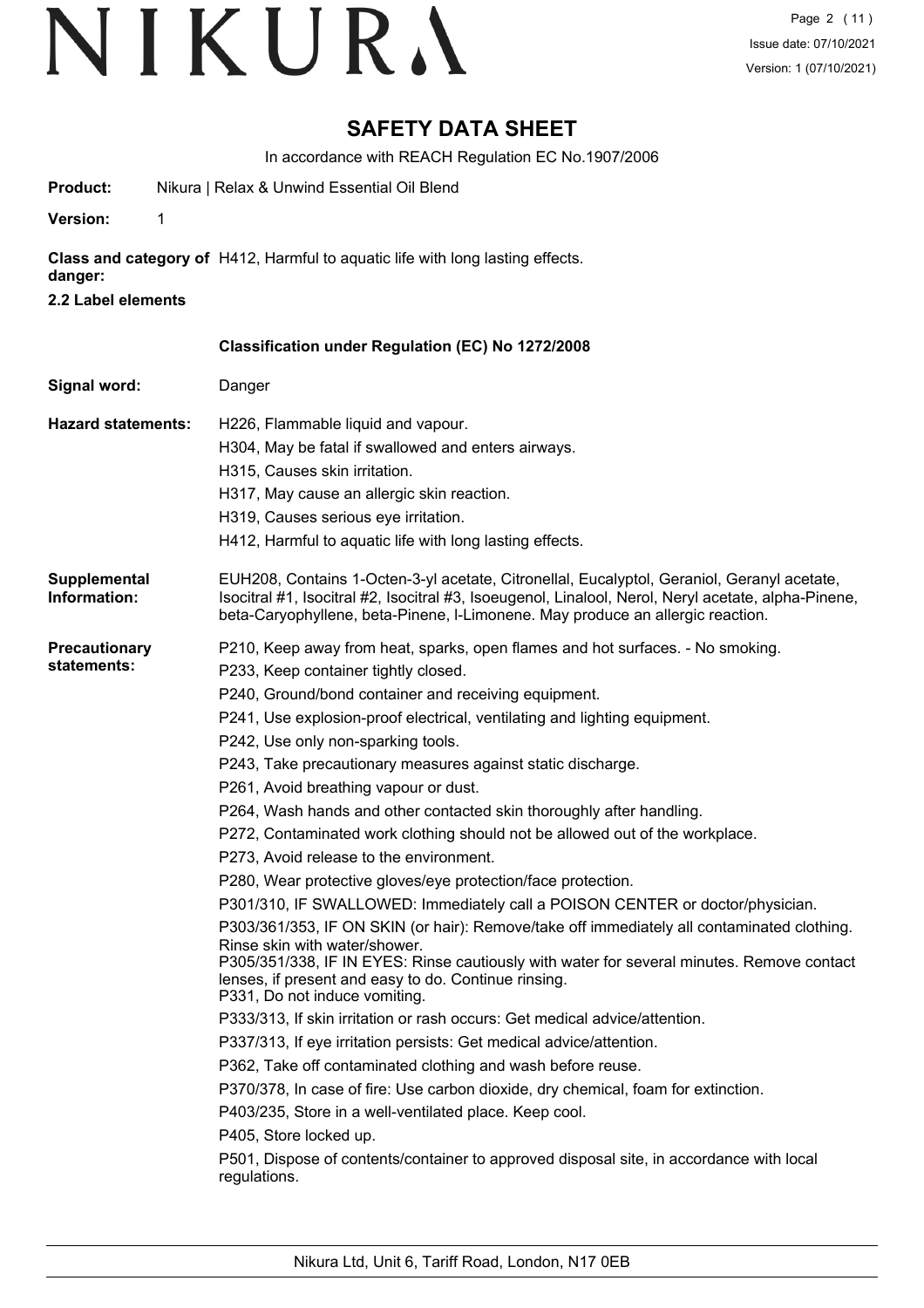### **SAFETY DATA SHEET**

In accordance with REACH Regulation EC No.1907/2006

| Product:                            | Nikura   Relax & Unwind Essential Oil Blend                                                                                                                                                                                                                                                                                                                                                                                                                                                                                                                                                                                                                                                                                                                                                                                                                                                                                                                                                                                                                                                                                                                                                                                                                                                                                                                                                                                                                                                                                                                                                |
|-------------------------------------|--------------------------------------------------------------------------------------------------------------------------------------------------------------------------------------------------------------------------------------------------------------------------------------------------------------------------------------------------------------------------------------------------------------------------------------------------------------------------------------------------------------------------------------------------------------------------------------------------------------------------------------------------------------------------------------------------------------------------------------------------------------------------------------------------------------------------------------------------------------------------------------------------------------------------------------------------------------------------------------------------------------------------------------------------------------------------------------------------------------------------------------------------------------------------------------------------------------------------------------------------------------------------------------------------------------------------------------------------------------------------------------------------------------------------------------------------------------------------------------------------------------------------------------------------------------------------------------------|
| <b>Version:</b><br>1                |                                                                                                                                                                                                                                                                                                                                                                                                                                                                                                                                                                                                                                                                                                                                                                                                                                                                                                                                                                                                                                                                                                                                                                                                                                                                                                                                                                                                                                                                                                                                                                                            |
| danger:<br>2.2 Label elements       | Class and category of H412, Harmful to aquatic life with long lasting effects.                                                                                                                                                                                                                                                                                                                                                                                                                                                                                                                                                                                                                                                                                                                                                                                                                                                                                                                                                                                                                                                                                                                                                                                                                                                                                                                                                                                                                                                                                                             |
|                                     | <b>Classification under Regulation (EC) No 1272/2008</b>                                                                                                                                                                                                                                                                                                                                                                                                                                                                                                                                                                                                                                                                                                                                                                                                                                                                                                                                                                                                                                                                                                                                                                                                                                                                                                                                                                                                                                                                                                                                   |
| Signal word:                        | Danger                                                                                                                                                                                                                                                                                                                                                                                                                                                                                                                                                                                                                                                                                                                                                                                                                                                                                                                                                                                                                                                                                                                                                                                                                                                                                                                                                                                                                                                                                                                                                                                     |
| <b>Hazard statements:</b>           | H226, Flammable liquid and vapour.<br>H304, May be fatal if swallowed and enters airways.<br>H315, Causes skin irritation.<br>H317, May cause an allergic skin reaction.<br>H319, Causes serious eye irritation.<br>H412, Harmful to aquatic life with long lasting effects.                                                                                                                                                                                                                                                                                                                                                                                                                                                                                                                                                                                                                                                                                                                                                                                                                                                                                                                                                                                                                                                                                                                                                                                                                                                                                                               |
| Supplemental<br>Information:        | EUH208, Contains 1-Octen-3-yl acetate, Citronellal, Eucalyptol, Geraniol, Geranyl acetate,<br>Isocitral #1, Isocitral #2, Isocitral #3, Isoeugenol, Linalool, Nerol, Neryl acetate, alpha-Pinene,<br>beta-Caryophyllene, beta-Pinene, I-Limonene. May produce an allergic reaction.                                                                                                                                                                                                                                                                                                                                                                                                                                                                                                                                                                                                                                                                                                                                                                                                                                                                                                                                                                                                                                                                                                                                                                                                                                                                                                        |
| <b>Precautionary</b><br>statements: | P210, Keep away from heat, sparks, open flames and hot surfaces. - No smoking.<br>P233, Keep container tightly closed.<br>P240, Ground/bond container and receiving equipment.<br>P241, Use explosion-proof electrical, ventilating and lighting equipment.<br>P242, Use only non-sparking tools.<br>P243, Take precautionary measures against static discharge.<br>P261, Avoid breathing vapour or dust.<br>P264, Wash hands and other contacted skin thoroughly after handling.<br>P272, Contaminated work clothing should not be allowed out of the workplace.<br>P273, Avoid release to the environment.<br>P280, Wear protective gloves/eye protection/face protection.<br>P301/310, IF SWALLOWED: Immediately call a POISON CENTER or doctor/physician.<br>P303/361/353, IF ON SKIN (or hair): Remove/take off immediately all contaminated clothing.<br>Rinse skin with water/shower.<br>P305/351/338, IF IN EYES: Rinse cautiously with water for several minutes. Remove contact<br>lenses, if present and easy to do. Continue rinsing.<br>P331, Do not induce vomiting.<br>P333/313, If skin irritation or rash occurs: Get medical advice/attention.<br>P337/313, If eye irritation persists: Get medical advice/attention.<br>P362, Take off contaminated clothing and wash before reuse.<br>P370/378, In case of fire: Use carbon dioxide, dry chemical, foam for extinction.<br>P403/235, Store in a well-ventilated place. Keep cool.<br>P405, Store locked up.<br>P501, Dispose of contents/container to approved disposal site, in accordance with local<br>regulations. |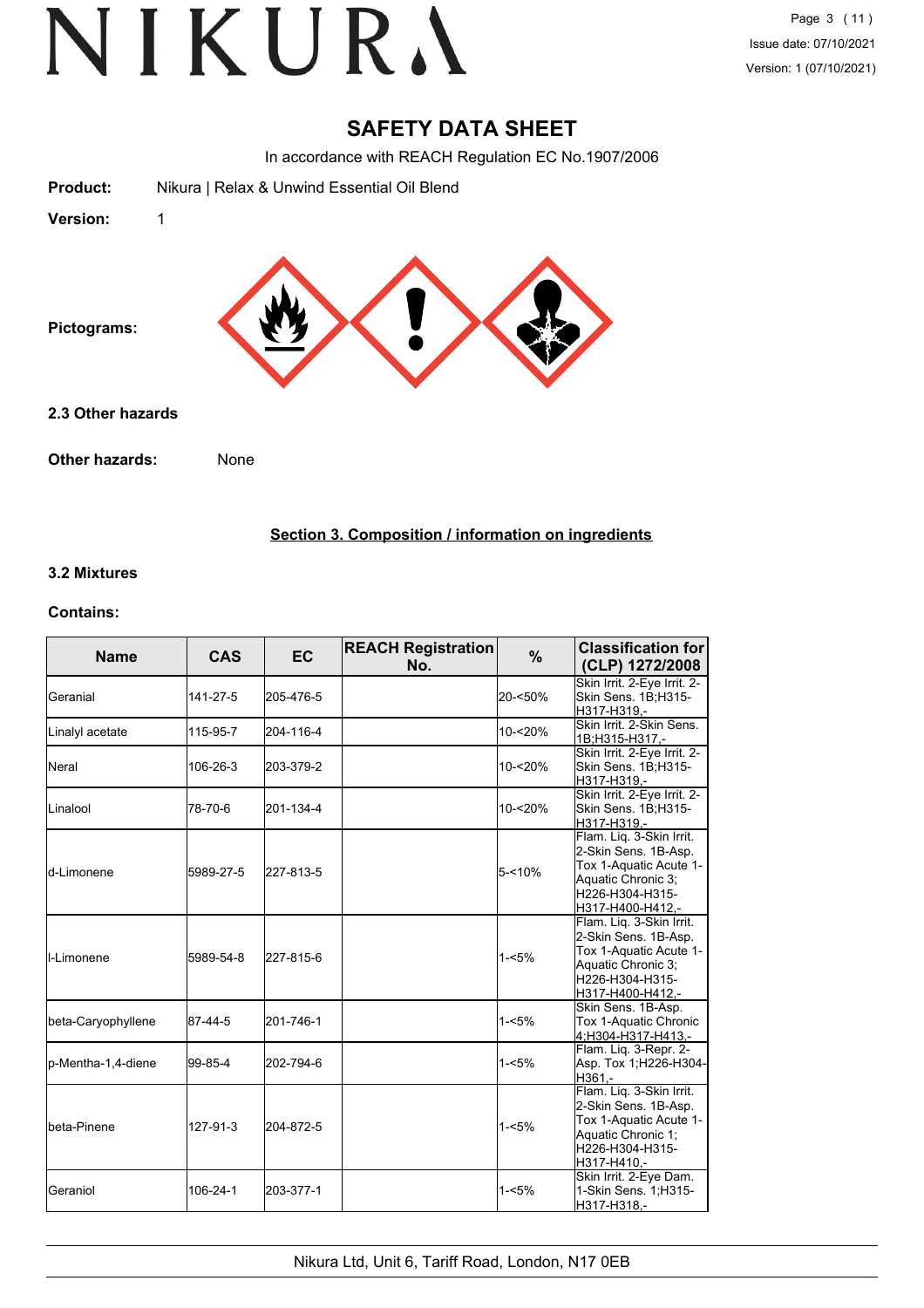### **SAFETY DATA SHEET**

In accordance with REACH Regulation EC No.1907/2006

| Nikura   Relax & Unwind Essential Oil Blend |
|---------------------------------------------|
| 1                                           |
|                                             |
| 2.3 Other hazards                           |
| Other hazards:<br>None                      |
|                                             |

#### **Section 3. Composition / information on ingredients**

#### **3.2 Mixtures**

#### **Contains:**

| <b>Name</b>         | <b>CAS</b> | <b>EC</b> | <b>REACH Registration</b><br>No. | %         | <b>Classification for</b><br>(CLP) 1272/2008                                                                                            |
|---------------------|------------|-----------|----------------------------------|-----------|-----------------------------------------------------------------------------------------------------------------------------------------|
| <b>I</b> Geranial   | 141-27-5   | 205-476-5 |                                  | 20-<50%   | Skin Irrit. 2-Eye Irrit. 2-<br>Skin Sens. 1B;H315-<br>H317-H319,-                                                                       |
| Linalyl acetate     | 115-95-7   | 204-116-4 |                                  | 10-<20%   | Skin Irrit. 2-Skin Sens.<br>1B;H315-H317,-                                                                                              |
| <b>I</b> Neral      | 106-26-3   | 203-379-2 |                                  | 10-<20%   | Skin Irrit. 2-Eye Irrit. 2-<br>Skin Sens. 1B;H315-<br>H317-H319.-                                                                       |
| ILinalool           | 78-70-6    | 201-134-4 |                                  | 10-<20%   | Skin Irrit. 2-Eye Irrit. 2-<br>Skin Sens. 1B;H315-<br>H317-H319.-                                                                       |
| ld-Limonene         | 5989-27-5  | 227-813-5 |                                  | $5 - 10%$ | Flam. Liq. 3-Skin Irrit.<br>2-Skin Sens. 1B-Asp.<br>Tox 1-Aquatic Acute 1-<br>Aquatic Chronic 3;<br>H226-H304-H315-<br>H317-H400-H412,- |
| II-Limonene         | 5989-54-8  | 227-815-6 |                                  | $1 - 5%$  | Flam. Liq. 3-Skin Irrit.<br>2-Skin Sens. 1B-Asp.<br>Tox 1-Aquatic Acute 1-<br>Aquatic Chronic 3:<br>H226-H304-H315-<br>H317-H400-H412,- |
| beta-Caryophyllene  | 87-44-5    | 201-746-1 |                                  | $1 - 5%$  | Skin Sens. 1B-Asp.<br>Tox 1-Aquatic Chronic<br>4:H304-H317-H413.-                                                                       |
| lp-Mentha-1,4-diene | 99-85-4    | 202-794-6 |                                  | $1 - 5%$  | Flam. Lig. 3-Repr. 2-<br>Asp. Tox 1;H226-H304-<br>H361.-                                                                                |
| Ibeta-Pinene        | 127-91-3   | 204-872-5 |                                  | $1 - 5%$  | Flam. Liq. 3-Skin Irrit.<br>2-Skin Sens. 1B-Asp.<br>Tox 1-Aquatic Acute 1-<br>Aquatic Chronic 1:<br>H226-H304-H315-<br>H317-H410,-      |
| <b>Geraniol</b>     | 106-24-1   | 203-377-1 |                                  | $1 - 5%$  | Skin Irrit. 2-Eye Dam.<br>1-Skin Sens. 1;H315-<br>H317-H318,-                                                                           |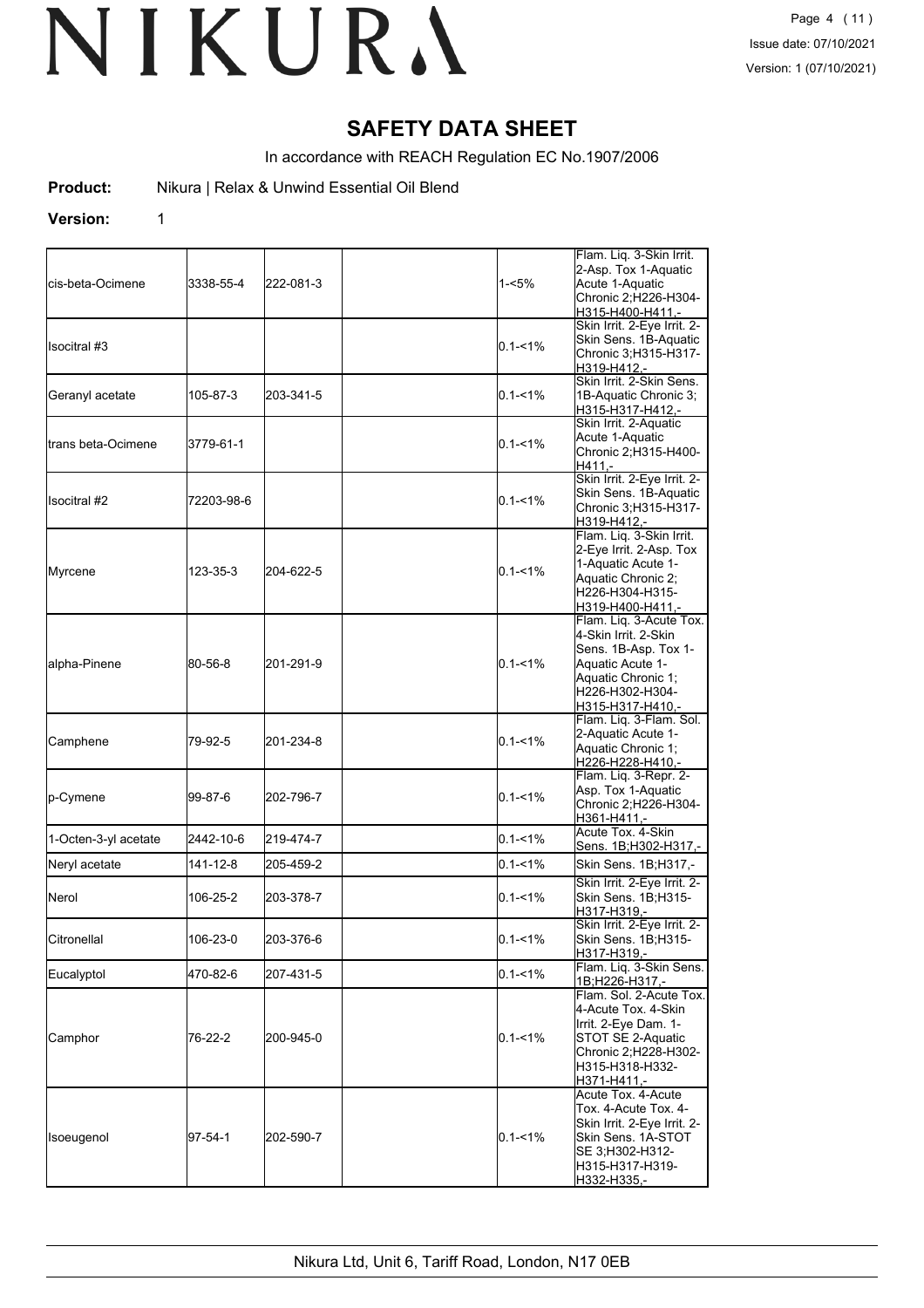### **SAFETY DATA SHEET**

In accordance with REACH Regulation EC No.1907/2006

**Product:** Nikura | Relax & Unwind Essential Oil Blend

**Version:** 1

cis-beta-Ocimene 3338-55-4 222-081-3 1-<5% Flam. Liq. 3-Skin Irrit. 2-Asp. Tox 1-Aquatic Acute 1-Aquatic Chronic 2;H226-H304- H315-H400-H411, Isocitral #3 0.1-<1% Skin Irrit. 2-Eye Irrit. 2- Skin Sens. 1B-Aquatic Chronic 3;H315-H317- H319-H412,- Geranyl acetate 105-87-3 203-341-5 0.1-<1% Skin Irrit. 2-Skin Sens. 1B-Aquatic Chronic 3; H315-H317-H412, trans beta-Ocimene 3779-61-1 0.1-<1% Skin Irrit. 2-Aquatic Acute 1-Aquatic Chronic 2;H315-H400- H411,- Isocitral #2 72203-98-6 **1220 1220 1241 1242** Skin Irrit. 2-Eye Irrit. 2-Skin Sens. 1B-Aquatic Chronic 3;H315-H317- H<sub>319</sub>-H<sub>412</sub> Myrcene 123-35-3 204-622-5 0.1-<1% Flam. Liq. 3-Skin Irrit. 2-Eye Irrit. 2-Asp. Tox 1-Aquatic Acute 1- Aquatic Chronic 2; H226-H304-H315- H319-H400-H411, alpha-Pinene 80-56-8 201-291-9 0.1-<1% Flam. Liq. 3-Acute Tox. 4-Skin Irrit. 2-Skin Sens. 1B-Asp. Tox 1- Aquatic Acute 1- Aquatic Chronic 1; H226-H302-H304- H315-H317-H410, Camphene 79-92-5 201-234-8 0.1-<1% Flam. Liq. 3-Flam. Sol. 2-Aquatic Acute 1- Aquatic Chronic 1; H226-H228-H410, p-Cymene 99-87-6 202-796-7 90.1-<1% Flam. Liq. 3-Repr. 2- Asp. Tox 1-Aquatic Chronic 2;H226-H304- H361-H411,-<br>Acute Tox. 4-Skin 1-Octen-3-yl acetate 2442-10-6 219-474-7 0.1-<1% Acute Tox. 4-Skin Sens. 1B:H302-H317 Neryl acetate 141-12-8 205-459-2 0.1-<1% Skin Sens. 1B;H317,- Nerol 106-25-2 203-378-7 0.1-<1% Skin Irrit. 2-Eye Irrit. 2- Skin Sens. 1B;H315- H317-H319,- Citronellal 106-23-0 203-376-6 0.1-<1% Skin Irrit. 2-Eye Irrit. 2- Skin Sens. 1B:H315-H317-H319,- Eucalyptol 470-82-6 207-431-5 0.1-<1% Flam. Liq. 3-Skin Sens. 1B;H226-H317,- Camphor 76-22-2 200-945-0 0.1-<1% Flam. Sol. 2-Acute Tox. 4-Acute Tox. 4-Skin Irrit. 2-Eye Dam. 1- STOT SE 2-Aquatic Chronic 2;H228-H302- H315-H318-H332- H371-H411 Isoeugenol 97-54-1 202-590-7 0.1-<1% Acute Tox. 4-Acute Tox. 4-Acute Tox. 4- Skin Irrit. 2-Eye Irrit. 2- Skin Sens. 1A-STOT SE 3;H302-H312- H315-H317-H319- H332-H335,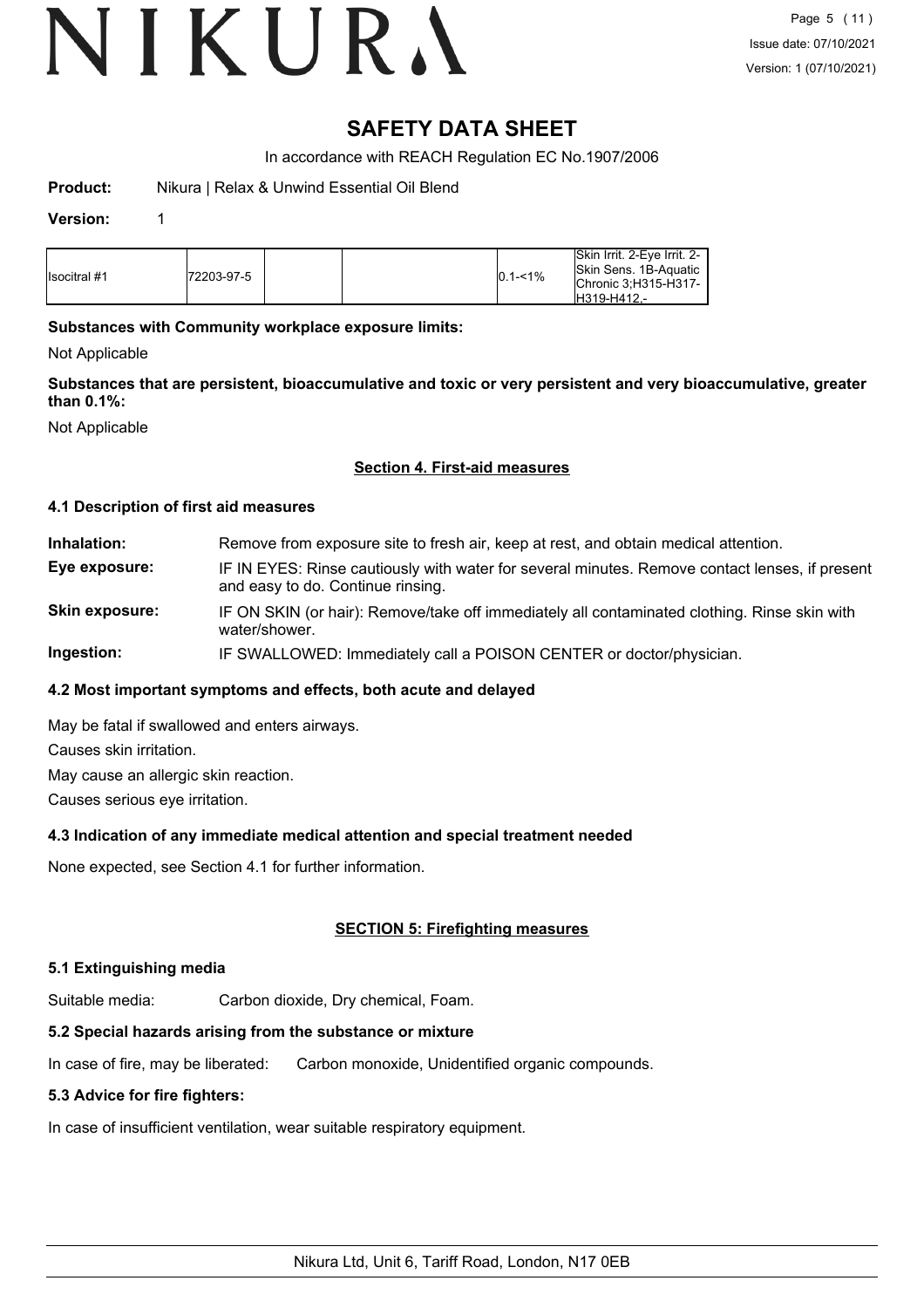# VIKURA

### **SAFETY DATA SHEET**

In accordance with REACH Regulation EC No.1907/2006

**Product:** Nikura | Relax & Unwind Essential Oil Blend

#### **Version:** 1

| <b>I</b> Isocitral #1 | 72203-97-5 |  |  | $0.1 - 1\%$ | Skin Irrit, 2-Eve Irrit, 2-<br>Skin Sens, 1B-Aquatic<br>Chronic 3:H315-H317-<br>IH319-H412.- |
|-----------------------|------------|--|--|-------------|----------------------------------------------------------------------------------------------|
|-----------------------|------------|--|--|-------------|----------------------------------------------------------------------------------------------|

#### **Substances with Community workplace exposure limits:**

Not Applicable

**Substances that are persistent, bioaccumulative and toxic or very persistent and very bioaccumulative, greater than 0.1%:**

Not Applicable

#### **Section 4. First-aid measures**

#### **4.1 Description of first aid measures**

**Inhalation:** Remove from exposure site to fresh air, keep at rest, and obtain medical attention. **Eye exposure:** IF IN EYES: Rinse cautiously with water for several minutes. Remove contact lenses, if present and easy to do. Continue rinsing. **Skin exposure:** IF ON SKIN (or hair): Remove/take off immediately all contaminated clothing. Rinse skin with water/shower.

## **Ingestion:** IF SWALLOWED: Immediately call a POISON CENTER or doctor/physician.

#### **4.2 Most important symptoms and effects, both acute and delayed**

May be fatal if swallowed and enters airways.

Causes skin irritation.

May cause an allergic skin reaction.

Causes serious eye irritation.

#### **4.3 Indication of any immediate medical attention and special treatment needed**

None expected, see Section 4.1 for further information.

#### **SECTION 5: Firefighting measures**

#### **5.1 Extinguishing media**

Suitable media: Carbon dioxide, Dry chemical, Foam.

### **5.2 Special hazards arising from the substance or mixture**

In case of fire, may be liberated: Carbon monoxide, Unidentified organic compounds.

### **5.3 Advice for fire fighters:**

In case of insufficient ventilation, wear suitable respiratory equipment.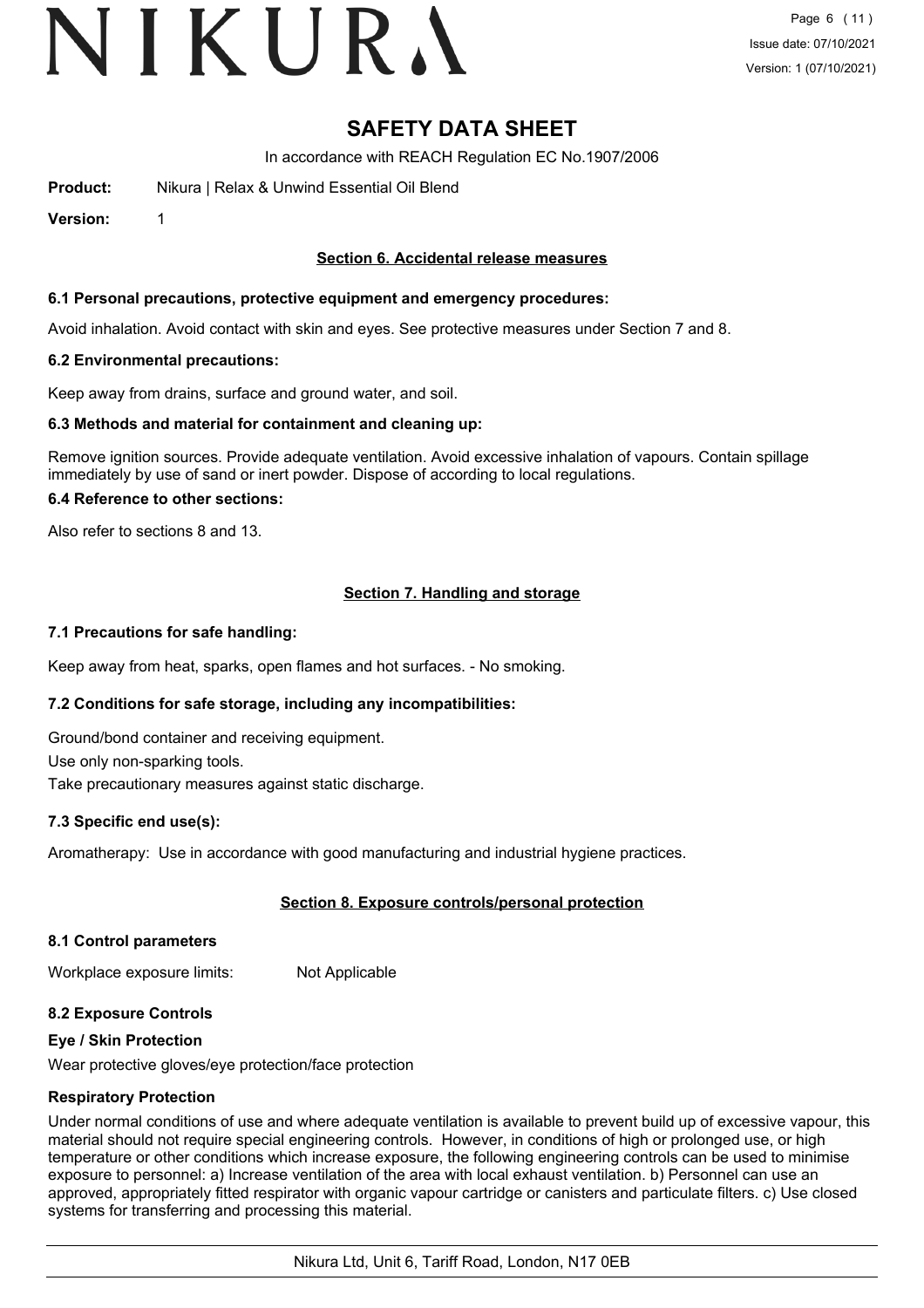# VIKURA

## **SAFETY DATA SHEET**

In accordance with REACH Regulation EC No.1907/2006

**Product:** Nikura | Relax & Unwind Essential Oil Blend

**Version:** 1

#### **Section 6. Accidental release measures**

#### **6.1 Personal precautions, protective equipment and emergency procedures:**

Avoid inhalation. Avoid contact with skin and eyes. See protective measures under Section 7 and 8.

#### **6.2 Environmental precautions:**

Keep away from drains, surface and ground water, and soil.

#### **6.3 Methods and material for containment and cleaning up:**

Remove ignition sources. Provide adequate ventilation. Avoid excessive inhalation of vapours. Contain spillage immediately by use of sand or inert powder. Dispose of according to local regulations.

#### **6.4 Reference to other sections:**

Also refer to sections 8 and 13.

#### **Section 7. Handling and storage**

#### **7.1 Precautions for safe handling:**

Keep away from heat, sparks, open flames and hot surfaces. - No smoking.

#### **7.2 Conditions for safe storage, including any incompatibilities:**

Ground/bond container and receiving equipment.

Use only non-sparking tools.

Take precautionary measures against static discharge.

#### **7.3 Specific end use(s):**

Aromatherapy: Use in accordance with good manufacturing and industrial hygiene practices.

#### **Section 8. Exposure controls/personal protection**

#### **8.1 Control parameters**

Workplace exposure limits: Not Applicable

#### **8.2 Exposure Controls**

#### **Eye / Skin Protection**

Wear protective gloves/eye protection/face protection

#### **Respiratory Protection**

Under normal conditions of use and where adequate ventilation is available to prevent build up of excessive vapour, this material should not require special engineering controls. However, in conditions of high or prolonged use, or high temperature or other conditions which increase exposure, the following engineering controls can be used to minimise exposure to personnel: a) Increase ventilation of the area with local exhaust ventilation. b) Personnel can use an approved, appropriately fitted respirator with organic vapour cartridge or canisters and particulate filters. c) Use closed systems for transferring and processing this material.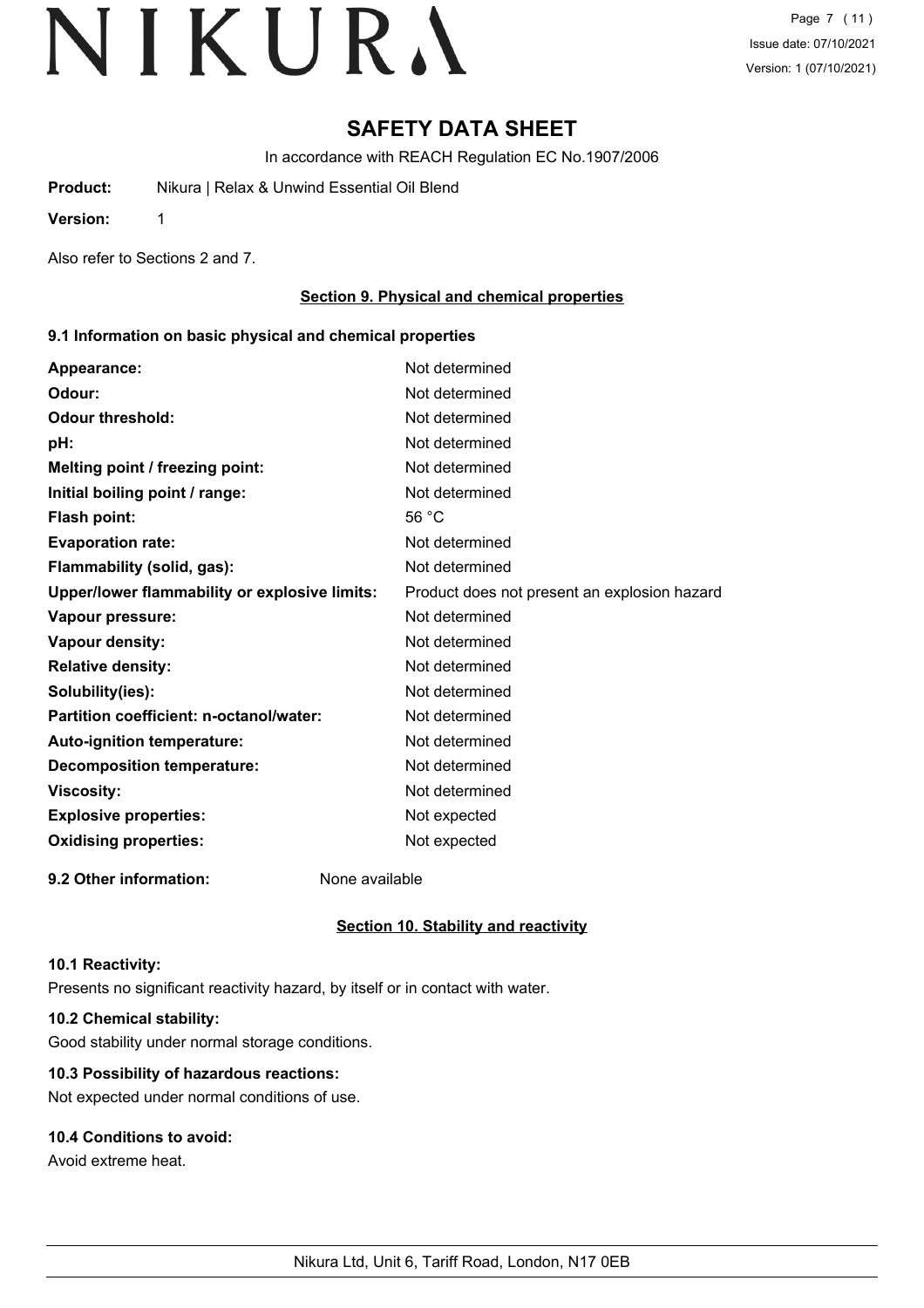Page 7 (11) Issue date: 07/10/2021 Version: 1 (07/10/2021)

### **SAFETY DATA SHEET**

In accordance with REACH Regulation EC No.1907/2006

**Product:** Nikura | Relax & Unwind Essential Oil Blend

**Version:** 1

Also refer to Sections 2 and 7.

#### **Section 9. Physical and chemical properties**

#### **9.1 Information on basic physical and chemical properties**

| Appearance:                                   | Not determined                               |
|-----------------------------------------------|----------------------------------------------|
| Odour:                                        | Not determined                               |
| <b>Odour threshold:</b>                       | Not determined                               |
| pH:                                           | Not determined                               |
| Melting point / freezing point:               | Not determined                               |
| Initial boiling point / range:                | Not determined                               |
| Flash point:                                  | 56 $°C$                                      |
| <b>Evaporation rate:</b>                      | Not determined                               |
| Flammability (solid, gas):                    | Not determined                               |
| Upper/lower flammability or explosive limits: | Product does not present an explosion hazard |
| Vapour pressure:                              | Not determined                               |
| Vapour density:                               | Not determined                               |
| <b>Relative density:</b>                      | Not determined                               |
| Solubility(ies):                              | Not determined                               |
| Partition coefficient: n-octanol/water:       | Not determined                               |
| Auto-ignition temperature:                    | Not determined                               |
| <b>Decomposition temperature:</b>             | Not determined                               |
| <b>Viscosity:</b>                             | Not determined                               |
| <b>Explosive properties:</b>                  | Not expected                                 |
| <b>Oxidising properties:</b>                  | Not expected                                 |
|                                               |                                              |

**9.2 Other information:** None available

**Section 10. Stability and reactivity**

#### **10.1 Reactivity:**

Presents no significant reactivity hazard, by itself or in contact with water.

#### **10.2 Chemical stability:**

Good stability under normal storage conditions.

#### **10.3 Possibility of hazardous reactions:**

Not expected under normal conditions of use.

#### **10.4 Conditions to avoid:**

Avoid extreme heat.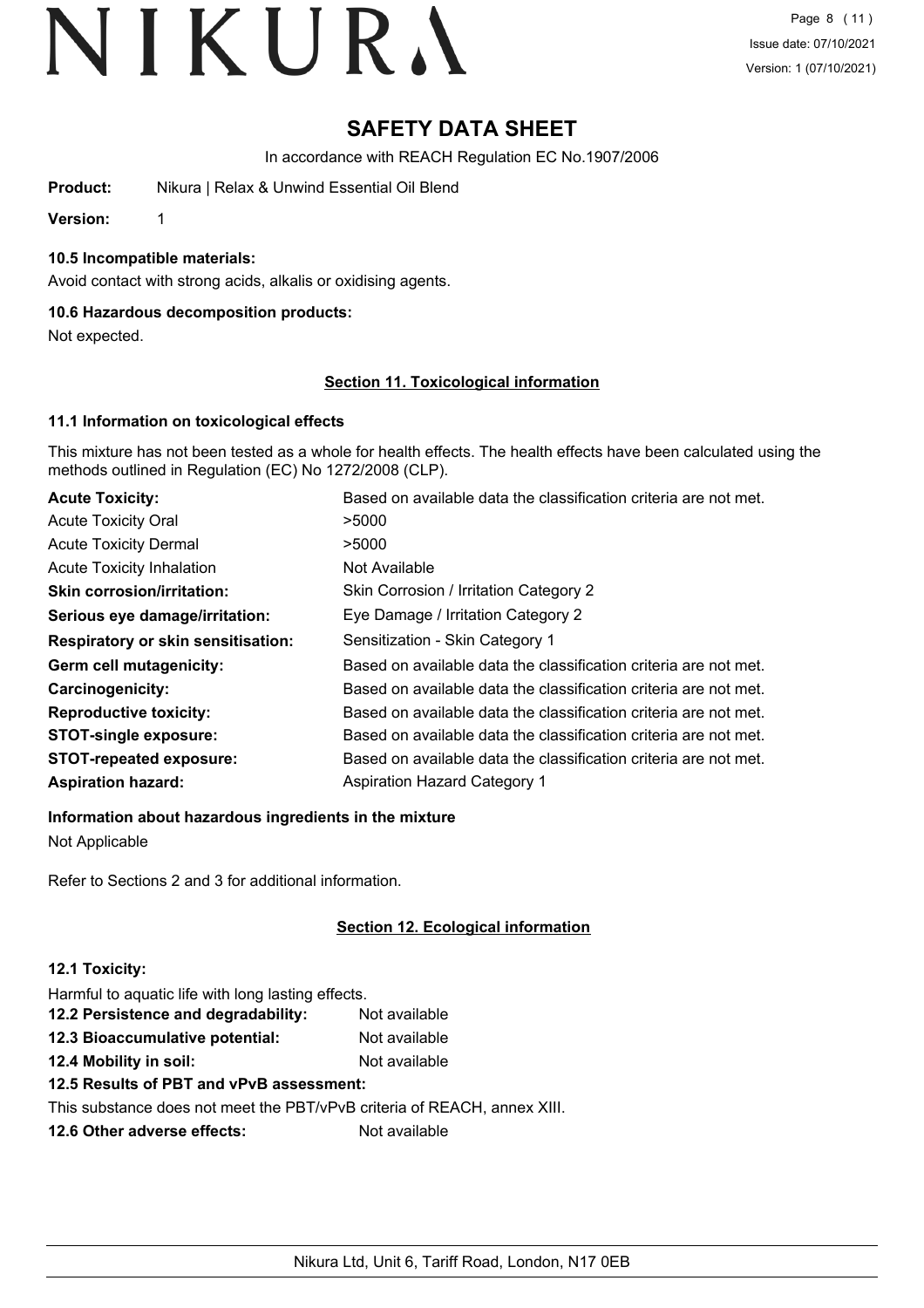## **SAFETY DATA SHEET**

In accordance with REACH Regulation EC No.1907/2006

**Product:** Nikura | Relax & Unwind Essential Oil Blend

**Version:** 1

#### **10.5 Incompatible materials:**

Avoid contact with strong acids, alkalis or oxidising agents.

#### **10.6 Hazardous decomposition products:**

Not expected.

#### **Section 11. Toxicological information**

#### **11.1 Information on toxicological effects**

This mixture has not been tested as a whole for health effects. The health effects have been calculated using the methods outlined in Regulation (EC) No 1272/2008 (CLP).

| <b>Acute Toxicity:</b>                    | Based on available data the classification criteria are not met. |
|-------------------------------------------|------------------------------------------------------------------|
| <b>Acute Toxicity Oral</b>                | >5000                                                            |
| <b>Acute Toxicity Dermal</b>              | >5000                                                            |
| <b>Acute Toxicity Inhalation</b>          | Not Available                                                    |
| <b>Skin corrosion/irritation:</b>         | Skin Corrosion / Irritation Category 2                           |
| Serious eye damage/irritation:            | Eye Damage / Irritation Category 2                               |
| <b>Respiratory or skin sensitisation:</b> | Sensitization - Skin Category 1                                  |
| Germ cell mutagenicity:                   | Based on available data the classification criteria are not met. |
| <b>Carcinogenicity:</b>                   | Based on available data the classification criteria are not met. |
| <b>Reproductive toxicity:</b>             | Based on available data the classification criteria are not met. |
| <b>STOT-single exposure:</b>              | Based on available data the classification criteria are not met. |
| <b>STOT-repeated exposure:</b>            | Based on available data the classification criteria are not met. |
| <b>Aspiration hazard:</b>                 | <b>Aspiration Hazard Category 1</b>                              |

**Information about hazardous ingredients in the mixture**

Not Applicable

Refer to Sections 2 and 3 for additional information.

#### **Section 12. Ecological information**

#### **12.1 Toxicity:**

| Harmful to aquatic life with long lasting effects.                       |               |
|--------------------------------------------------------------------------|---------------|
| 12.2 Persistence and degradability:                                      | Not available |
| 12.3 Bioaccumulative potential:                                          | Not available |
| 12.4 Mobility in soil:                                                   | Not available |
| 12.5 Results of PBT and vPvB assessment:                                 |               |
| This substance does not meet the PBT/vPvB criteria of REACH, annex XIII. |               |
|                                                                          |               |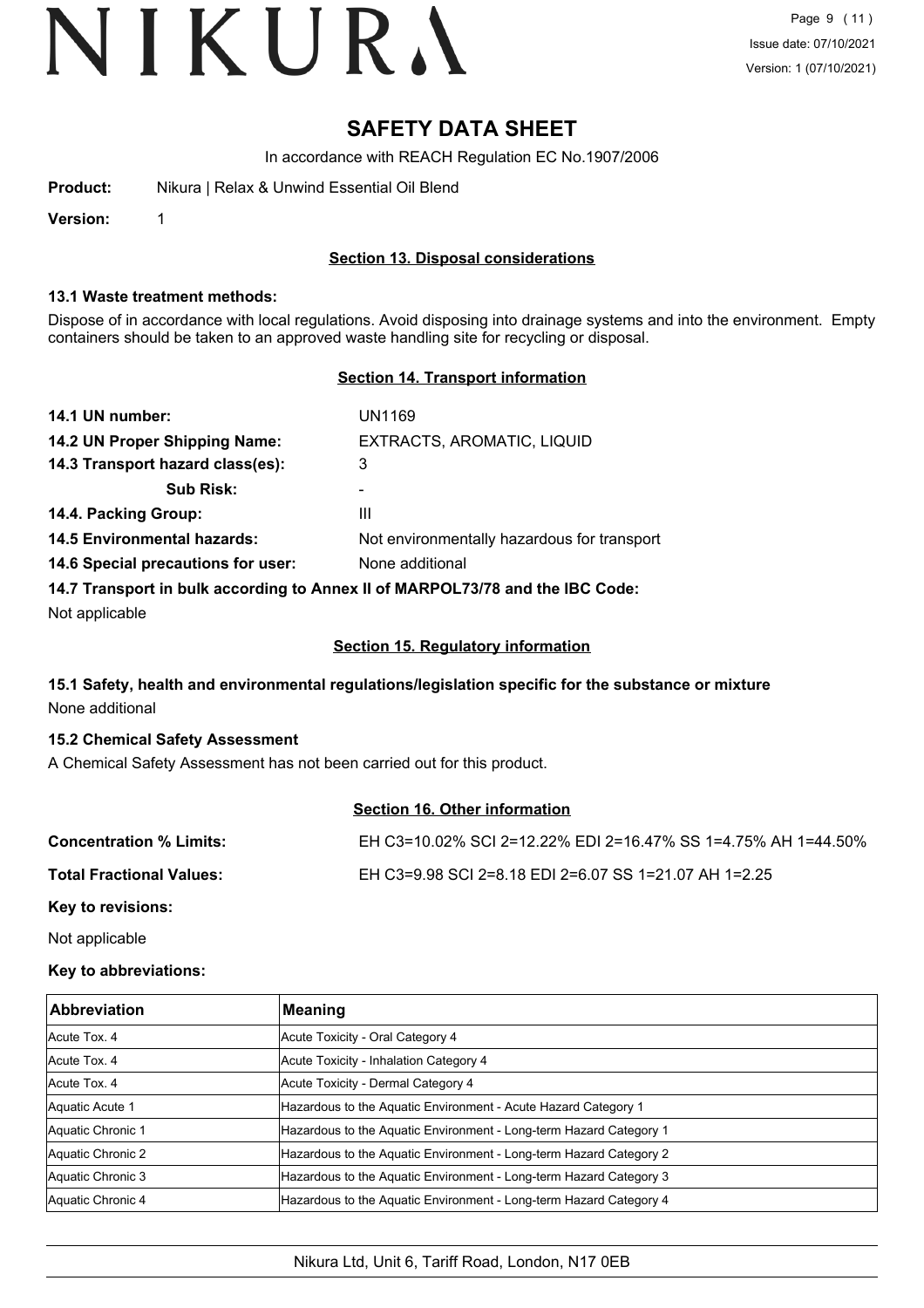### **SAFETY DATA SHEET**

In accordance with REACH Regulation EC No.1907/2006

**Version:** 1

#### **Section 13. Disposal considerations**

#### **13.1 Waste treatment methods:**

Dispose of in accordance with local regulations. Avoid disposing into drainage systems and into the environment. Empty containers should be taken to an approved waste handling site for recycling or disposal.

#### **Section 14. Transport information**

| 14.1 UN number:                    | UN1169                                                                        |
|------------------------------------|-------------------------------------------------------------------------------|
| 14.2 UN Proper Shipping Name:      | EXTRACTS, AROMATIC, LIQUID                                                    |
| 14.3 Transport hazard class(es):   | 3                                                                             |
| <b>Sub Risk:</b>                   | -                                                                             |
| 14.4. Packing Group:               | Ш                                                                             |
| <b>14.5 Environmental hazards:</b> | Not environmentally hazardous for transport                                   |
| 14.6 Special precautions for user: | None additional                                                               |
|                                    | 14.7 Transport in bulk according to Annex II of MARPOL73/78 and the IBC Code: |

Not applicable

#### **Section 15. Regulatory information**

#### **15.1 Safety, health and environmental regulations/legislation specific for the substance or mixture** None additional

#### **15.2 Chemical Safety Assessment**

A Chemical Safety Assessment has not been carried out for this product.

#### **Section 16. Other information**

| <b>Concentration % Limits:</b>  | EH C3=10.02% SCI 2=12.22% EDI 2=16.47% SS 1=4.75% AH 1=44.50% |
|---------------------------------|---------------------------------------------------------------|
| <b>Total Fractional Values:</b> | EH C3=9.98 SCI 2=8.18 EDI 2=6.07 SS 1=21.07 AH 1=2.25         |
| Key to revisions:               |                                                               |

Not applicable

#### **Key to abbreviations:**

| <b>Abbreviation</b> | Meaning                                                            |
|---------------------|--------------------------------------------------------------------|
| Acute Tox, 4        | Acute Toxicity - Oral Category 4                                   |
| Acute Tox. 4        | Acute Toxicity - Inhalation Category 4                             |
| Acute Tox, 4        | Acute Toxicity - Dermal Category 4                                 |
| Aquatic Acute 1     | Hazardous to the Aquatic Environment - Acute Hazard Category 1     |
| Aquatic Chronic 1   | Hazardous to the Aquatic Environment - Long-term Hazard Category 1 |
| Aquatic Chronic 2   | Hazardous to the Aquatic Environment - Long-term Hazard Category 2 |
| Aquatic Chronic 3   | Hazardous to the Aquatic Environment - Long-term Hazard Category 3 |
| Aquatic Chronic 4   | Hazardous to the Aquatic Environment - Long-term Hazard Category 4 |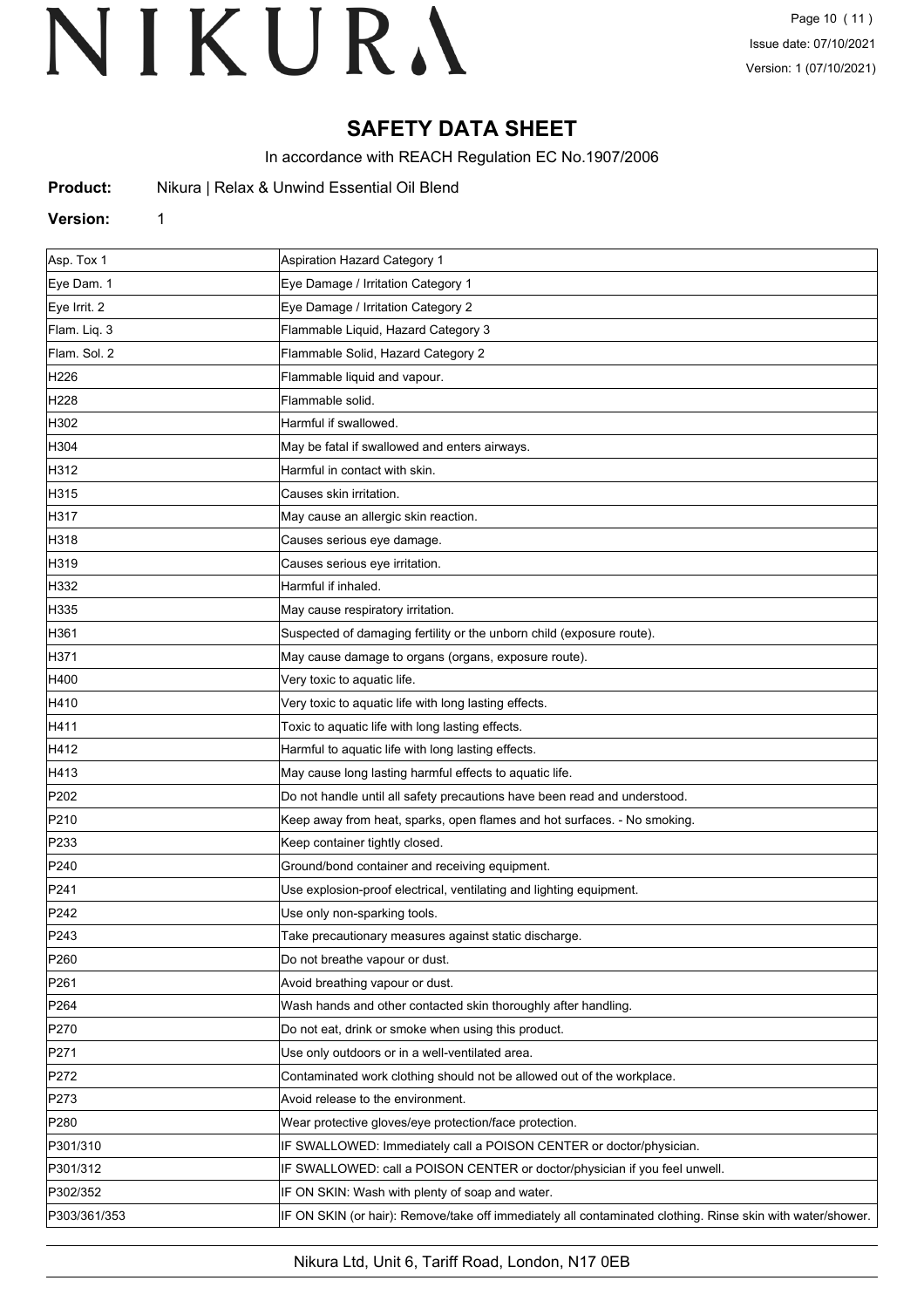## **SAFETY DATA SHEET**

In accordance with REACH Regulation EC No.1907/2006

| Product: |  |  |  | Nikura   Relax & Unwind Essential Oil Blend |  |
|----------|--|--|--|---------------------------------------------|--|
|----------|--|--|--|---------------------------------------------|--|

#### **Version:** 1

| Asp. Tox 1       | <b>Aspiration Hazard Category 1</b>                                                                        |
|------------------|------------------------------------------------------------------------------------------------------------|
| Eye Dam. 1       | Eye Damage / Irritation Category 1                                                                         |
| Eye Irrit. 2     | Eye Damage / Irritation Category 2                                                                         |
| Flam. Liq. 3     | Flammable Liquid, Hazard Category 3                                                                        |
| Flam. Sol. 2     | Flammable Solid, Hazard Category 2                                                                         |
| H226             | Flammable liquid and vapour.                                                                               |
| H228             | Flammable solid.                                                                                           |
| H302             | Harmful if swallowed.                                                                                      |
| H304             | May be fatal if swallowed and enters airways.                                                              |
| H312             | Harmful in contact with skin.                                                                              |
| H315             | Causes skin irritation.                                                                                    |
| H317             | May cause an allergic skin reaction.                                                                       |
| H318             | Causes serious eye damage.                                                                                 |
| H319             | Causes serious eye irritation.                                                                             |
| H332             | Harmful if inhaled.                                                                                        |
| H335             | May cause respiratory irritation.                                                                          |
| H361             | Suspected of damaging fertility or the unborn child (exposure route).                                      |
| H371             | May cause damage to organs (organs, exposure route).                                                       |
| H400             | Very toxic to aquatic life.                                                                                |
| H410             | Very toxic to aquatic life with long lasting effects.                                                      |
| H411             | Toxic to aquatic life with long lasting effects.                                                           |
| H412             | Harmful to aquatic life with long lasting effects.                                                         |
| H413             | May cause long lasting harmful effects to aquatic life.                                                    |
| P202             | Do not handle until all safety precautions have been read and understood.                                  |
| P210             | Keep away from heat, sparks, open flames and hot surfaces. - No smoking.                                   |
| P233             | Keep container tightly closed.                                                                             |
| P240             | Ground/bond container and receiving equipment.                                                             |
| P241             | Use explosion-proof electrical, ventilating and lighting equipment.                                        |
| P242             | Use only non-sparking tools.                                                                               |
| P243             | Take precautionary measures against static discharge.                                                      |
| P <sub>260</sub> | Do not breathe vapour or dust.                                                                             |
| P261             | Avoid breathing vapour or dust.                                                                            |
| P <sub>264</sub> | Wash hands and other contacted skin thoroughly after handling.                                             |
| P270             | Do not eat, drink or smoke when using this product.                                                        |
| P271             | Use only outdoors or in a well-ventilated area.                                                            |
| P272             | Contaminated work clothing should not be allowed out of the workplace.                                     |
| P273             | Avoid release to the environment.                                                                          |
| P280             | Wear protective gloves/eye protection/face protection.                                                     |
| P301/310         | IF SWALLOWED: Immediately call a POISON CENTER or doctor/physician.                                        |
| P301/312         | IF SWALLOWED: call a POISON CENTER or doctor/physician if you feel unwell.                                 |
| P302/352         | IF ON SKIN: Wash with plenty of soap and water.                                                            |
| P303/361/353     | IF ON SKIN (or hair): Remove/take off immediately all contaminated clothing. Rinse skin with water/shower. |
|                  |                                                                                                            |

Nikura Ltd, Unit 6, Tariff Road, London, N17 0EB